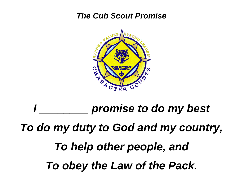### *The Cub Scout Promise*



## *<u>Promise to do my best</u> To do my duty to God and my country, To help other people, and To obey the Law of the Pack.*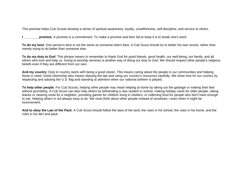This promise helps Cub Scouts develop a sense of spiritual awareness, loyalty, unselfishness, self-discipline, and service to others.

**I I promise**: A promise is a commitment. To make a promise and then fail to keep it is to break one's word.

**To do my best**: One person's best is not the same as someone else's best. A Cub Scout should try to better his own record, rather than merely trying to do better than someone else.

**To do my duty to God**: This phrase means to remember to thank God for good friends, good health, our well-being, our family, and all others who love and help us. Going to worship services is another way of doing our duty to God. We should respect other people's religious beliefs even if they are different from our own.

**And my country**: Duty to country starts with being a good citizen. This means caring about the people in our communities and helping those in need. Good citizenship also means obeying the law and using our country's resources carefully. We show love for our country by respecting and saluting the U.S. flag and standing at attention when our national anthem is played.

**To help other people**: For Cub Scouts, helping other people may mean helping at home by taking out the garbage or making their bed without grumbling. A Cub Scout can also help others by befriending a new student in school, making holiday cards for older people, raking leaves or clearing snow for a neighbor, providing games for children living in shelters, or collecting food for people who don't have enough to eat. Helping others is not always easy to do. We must think about other people instead of ourselves—even when it might be inconvenient.

**And to obey the [Law of the Pack](http://www.scouting.org/CubScouts/AboutCubScouts/Ideals/lawofthepack.aspx)**: A Cub Scout should follow the laws of the land, the rules in his school, the rules in his home, and the rules in his den and pack.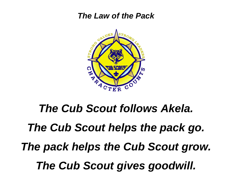#### *The Law of the Pack*



## *The Cub Scout follows Akela. The Cub Scout helps the pack go. The pack helps the Cub Scout grow. The Cub Scout gives goodwill.*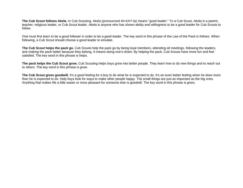**The Cub Scout follows Akela.** In Cub Scouting, Akela (pronounced Ah-KAY-la) means "good leader." To a Cub Scout, Akela is a parent, teacher, religious leader, or Cub Scout leader. Akela is anyone who has shown ability and willingness to be a good leader for Cub Scouts to follow.

One must first learn to be a good follower in order to be a good leader. The key word in this phrase of the Law of the Pack is *follows.* When following, a Cub Scout should choose a good leader to emulate.

**The Cub Scout helps the pack go.** Cub Scouts help the pack go by being loyal members, attending all meetings, following the leaders, and making the pack better because they belong. It means doing one's share. By helping the pack, Cub Scouts have more fun and feel satisfied. The key word in this phrase is *helps.*

**The pack helps the Cub Scout grow.** Cub Scouting helps boys grow into better people. They learn how to do new things and to reach out to others. The key word in this phrase is *grow.*

The Cub Scout gives goodwill. It's a good feeling for a boy to do what he is expected to do. It's an even better feeling when he does more than he is expected to do. Help boys look for ways to make other people happy. The small things are just as important as the big ones. Anything that makes life a little easier or more pleasant for someone else is goodwill. The key word in this phrase is *gives.*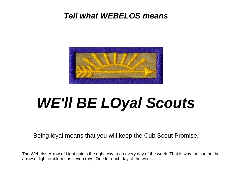### *Tell what WEBELOS means*



## *WE'll BE LOyal Scouts*

Being loyal means that you will keep the Cub Scout Promise.

The Webelos Arrow of Light points the right way to go every day of the week. That is why the sun on the arrow of light emblem has seven rays. One for each day of the week.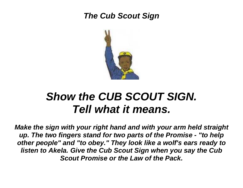## *The Cub Scout Sign*



## *Show the CUB SCOUT SIGN. Tell what it means.*

*Make the sign with your right hand and with your arm held straight up. The two fingers stand for two parts of the Promise - "to help other people" and "to obey." They look like a wolf's ears ready to listen to Akela. Give the Cub Scout Sign when you say the Cub Scout Promise or the Law of the Pack.*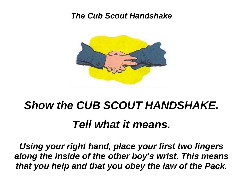#### *The Cub Scout Handshake*



# *Show the CUB SCOUT HANDSHAKE.*

## *Tell what it means.*

*Using your right hand, place your first two fingers along the inside of the other boy's wrist. This means that you help and that you obey the law of the Pack.*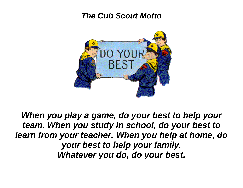### *The Cub Scout Motto*



*When you play a game, do your best to help your team. When you study in school, do your best to learn from your teacher. When you help at home, do your best to help your family. Whatever you do, do your best.*